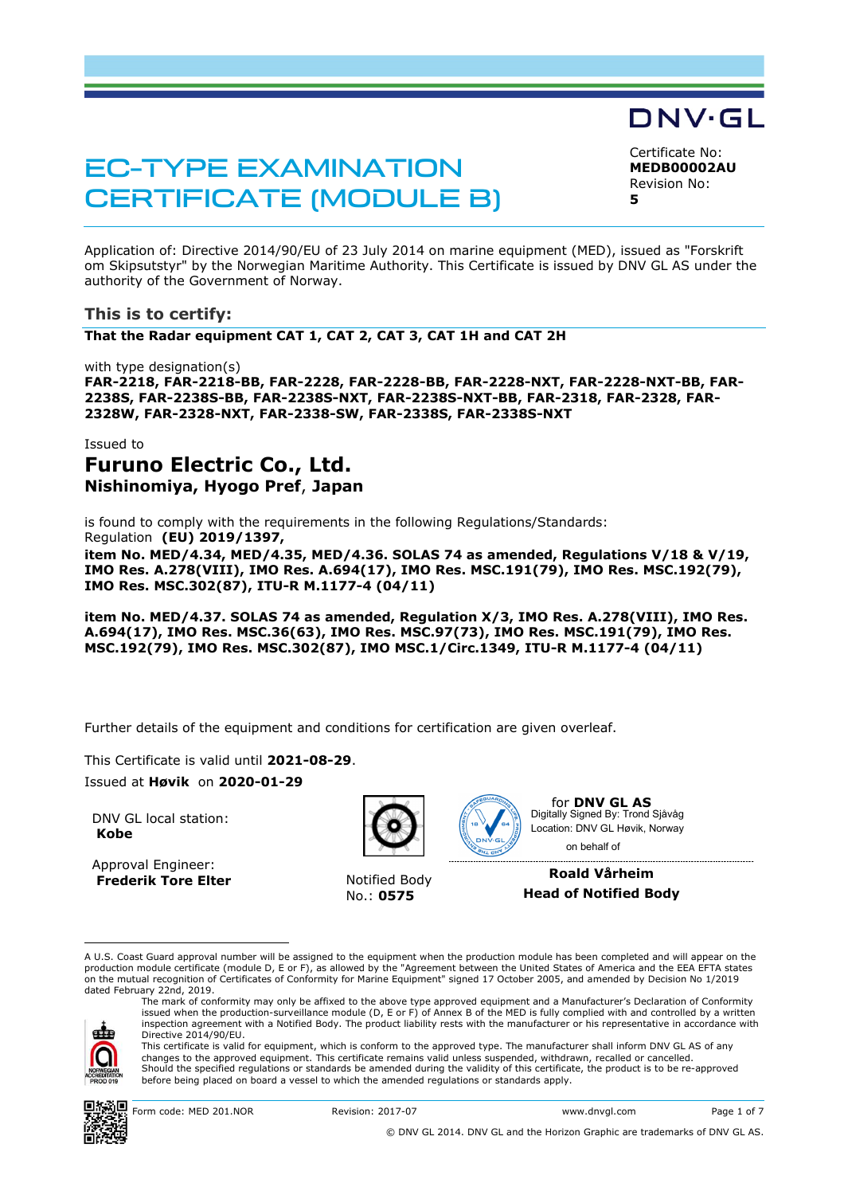# EC-TYPE EXAMINATION CERTIFICATE (MODULE B)

Certificate No: **MEDB00002AU** Revision No: **5** 

DNV·GL

Application of: Directive 2014/90/EU of 23 July 2014 on marine equipment (MED), issued as "Forskrift om Skipsutstyr" by the Norwegian Maritime Authority. This Certificate is issued by DNV GL AS under the authority of the Government of Norway.

# **This is to certify:**

**That the Radar equipment CAT 1, CAT 2, CAT 3, CAT 1H and CAT 2H**

with type designation(s) **FAR-2218, FAR-2218-BB, FAR-2228, FAR-2228-BB, FAR-2228-NXT, FAR-2228-NXT-BB, FAR-2238S, FAR-2238S-BB, FAR-2238S-NXT, FAR-2238S-NXT-BB, FAR-2318, FAR-2328, FAR-2328W, FAR-2328-NXT, FAR-2338-SW, FAR-2338S, FAR-2338S-NXT**

#### Issued to

# **Furuno Electric Co., Ltd. Nishinomiya, Hyogo Pref**, **Japan**

is found to comply with the requirements in the following Regulations/Standards: Regulation **(EU) 2019/1397, item No. MED/4.34, MED/4.35, MED/4.36. SOLAS 74 as amended, Regulations V/18 & V/19, IMO Res. A.278(VIII), IMO Res. A.694(17), IMO Res. MSC.191(79), IMO Res. MSC.192(79), IMO Res. MSC.302(87), ITU-R M.1177-4 (04/11)** 

**item No. MED/4.37. SOLAS 74 as amended, Regulation X/3, IMO Res. A.278(VIII), IMO Res. A.694(17), IMO Res. MSC.36(63), IMO Res. MSC.97(73), IMO Res. MSC.191(79), IMO Res. MSC.192(79), IMO Res. MSC.302(87), IMO MSC.1/Circ.1349, ITU-R M.1177-4 (04/11)** 

Further details of the equipment and conditions for certification are given overleaf.

This Certificate is valid until **2021-08-29**. Issued at **Høvik** on **2020-01-29**

DNV GL local station: **Kobe**

Approval Engineer: **Frederik Tore Elter** Notified Body



No.: **0575**



for **DNV GL AS** Digitally Signed By: Trond Sjåvåg Location: DNV GL Høvik, Norway on behalf of

Ï **Roald Vårheim Head of Notified Body**

A U.S. Coast Guard approval number will be assigned to the equipment when the production module has been completed and will appear on the production module certificate (module D, E or F), as allowed by the "Agreement between the United States of America and the EEA EFTA states on the mutual recognition of Certificates of Conformity for Marine Equipment" signed 17 October 2005, and amended by Decision No 1/2019 dated February 22nd, 2019.



The mark of conformity may only be affixed to the above type approved equipment and a Manufacturer's Declaration of Conformity issued when the production-surveillance module (D, E or F) of Annex B of the MED is fully complied with and controlled by a written inspection agreement with a Notified Body. The product liability rests with the manufacturer or his representative in accordance with Directive 2014/90/EU. This certificate is valid for equipment, which is conform to the approved type. The manufacturer shall inform DNV GL AS of any

changes to the approved equipment. This certificate remains valid unless suspended, withdrawn, recalled or cancelled. Should the specified regulations or standards be amended during the validity of this certificate, the product is to be re-approved before being placed on board a vessel to which the amended regulations or standards apply.



© DNV GL 2014. DNV GL and the Horizon Graphic are trademarks of DNV GL AS.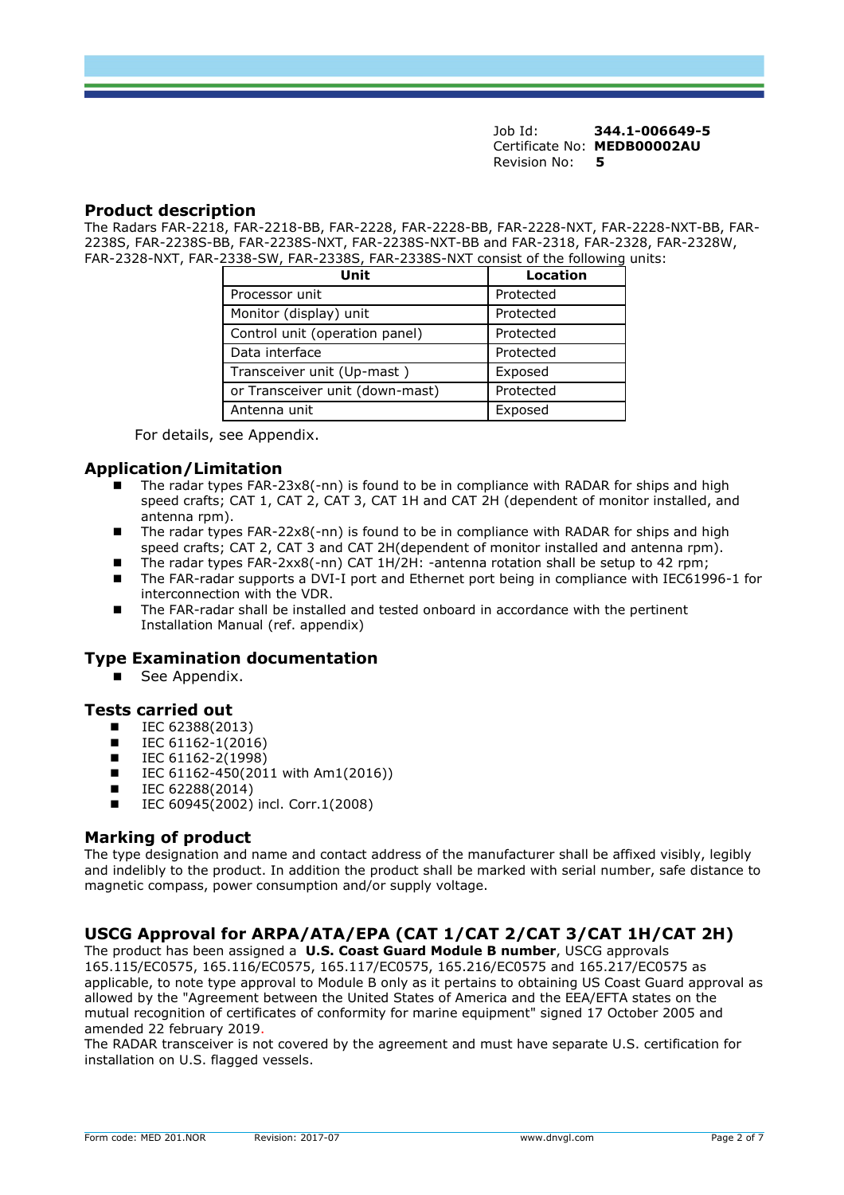#### **Product description**

The Radars FAR-2218, FAR-2218-BB, FAR-2228, FAR-2228-BB, FAR-2228-NXT, FAR-2228-NXT-BB, FAR-2238S, FAR-2238S-BB, FAR-2238S-NXT, FAR-2238S-NXT-BB and FAR-2318, FAR-2328, FAR-2328W, FAR-2328-NXT, FAR-2338-SW, FAR-2338S, FAR-2338S-NXT consist of the following units:

| Unit                            | <b>Location</b> |
|---------------------------------|-----------------|
| Processor unit                  | Protected       |
| Monitor (display) unit          | Protected       |
| Control unit (operation panel)  | Protected       |
| Data interface                  | Protected       |
| Transceiver unit (Up-mast)      | Exposed         |
| or Transceiver unit (down-mast) | Protected       |
| Antenna unit                    | Exposed         |

For details, see Appendix.

# **Application/Limitation**

- The radar types FAR-23x8(-nn) is found to be in compliance with RADAR for ships and high speed crafts; CAT 1, CAT 2, CAT 3, CAT 1H and CAT 2H (dependent of monitor installed, and antenna rpm).
- The radar types FAR-22x8(-nn) is found to be in compliance with RADAR for ships and high speed crafts; CAT 2, CAT 3 and CAT 2H(dependent of monitor installed and antenna rpm).
- The radar types FAR-2xx8(-nn) CAT 1H/2H: -antenna rotation shall be setup to 42 rpm;
- The FAR-radar supports a DVI-I port and Ethernet port being in compliance with IEC61996-1 for interconnection with the VDR.
- The FAR-radar shall be installed and tested onboard in accordance with the pertinent Installation Manual (ref. appendix)

# **Type Examination documentation**

See Appendix.

#### **Tests carried out**

- $\blacksquare$  IEC 62388(2013)<br> $\blacksquare$  IEC 61162-1(201
- IEC 61162-1(2016)
- $\blacksquare$  IEC 61162-2(1998)
- $\blacksquare$  IEC 61162-450(2011 with Am1(2016))
- IEC 62288(2014)
- IEC 60945(2002) incl. Corr.1(2008)

#### **Marking of product**

The type designation and name and contact address of the manufacturer shall be affixed visibly, legibly and indelibly to the product. In addition the product shall be marked with serial number, safe distance to magnetic compass, power consumption and/or supply voltage.

# **USCG Approval for ARPA/ATA/EPA (CAT 1/CAT 2/CAT 3/CAT 1H/CAT 2H)**

The product has been assigned a **U.S. Coast Guard Module B number**, USCG approvals 165.115/EC0575, 165.116/EC0575, 165.117/EC0575, 165.216/EC0575 and 165.217/EC0575 as applicable, to note type approval to Module B only as it pertains to obtaining US Coast Guard approval as allowed by the "Agreement between the United States of America and the EEA/EFTA states on the mutual recognition of certificates of conformity for marine equipment" signed 17 October 2005 and amended 22 february 2019.

The RADAR transceiver is not covered by the agreement and must have separate U.S. certification for installation on U.S. flagged vessels.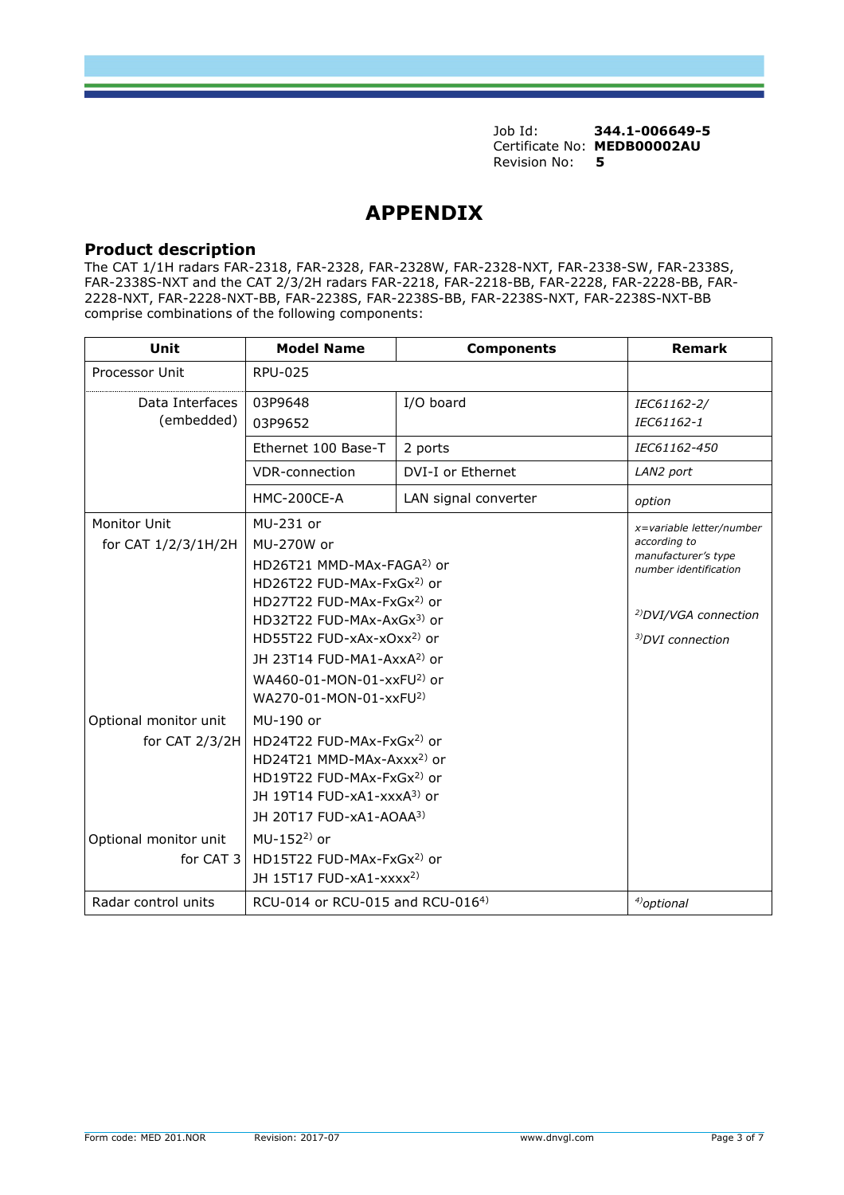# **APPENDIX**

#### **Product description**

The CAT 1/1H radars FAR-2318, FAR-2328, FAR-2328W, FAR-2328-NXT, FAR-2338-SW, FAR-2338S, FAR-2338S-NXT and the CAT 2/3/2H radars FAR-2218, FAR-2218-BB, FAR-2228, FAR-2228-BB, FAR-2228-NXT, FAR-2228-NXT-BB, FAR-2238S, FAR-2238S-BB, FAR-2238S-NXT, FAR-2238S-NXT-BB comprise combinations of the following components:

| Unit                  | <b>Model Name</b><br><b>Components</b>             |                                  | <b>Remark</b>                                |  |  |
|-----------------------|----------------------------------------------------|----------------------------------|----------------------------------------------|--|--|
| Processor Unit        | <b>RPU-025</b>                                     |                                  |                                              |  |  |
| Data Interfaces       | 03P9648                                            | I/O board                        | IEC61162-2/                                  |  |  |
| (embedded)            | 03P9652                                            |                                  | IEC61162-1                                   |  |  |
|                       | Ethernet 100 Base-T                                | 2 ports                          | IEC61162-450                                 |  |  |
|                       | VDR-connection                                     | DVI-I or Ethernet                | LAN2 port                                    |  |  |
|                       | HMC-200CE-A                                        | LAN signal converter             | option                                       |  |  |
| <b>Monitor Unit</b>   | MU-231 or                                          |                                  | x=variable letter/number                     |  |  |
| for CAT 1/2/3/1H/2H   | MU-270W or                                         |                                  | according to                                 |  |  |
|                       | HD26T21 MMD-MAx-FAGA <sup>2)</sup> or              |                                  | manufacturer's type<br>number identification |  |  |
|                       | HD26T22 FUD-MAx-FxGx <sup>2)</sup> or              |                                  |                                              |  |  |
|                       | HD27T22 FUD-MAx-FxGx <sup>2)</sup> or              |                                  |                                              |  |  |
|                       | HD32T22 FUD-MAx-AxGx <sup>3)</sup> or              | <sup>2)</sup> DVI/VGA connection |                                              |  |  |
|                       | HD55T22 FUD-xAx-xOxx <sup>2)</sup> or              |                                  | <sup>3)</sup> DVI connection                 |  |  |
|                       | JH 23T14 FUD-MA1-AxxA <sup>2)</sup> or             |                                  |                                              |  |  |
|                       | WA460-01-MON-01-xxFU2) or                          |                                  |                                              |  |  |
|                       | WA270-01-MON-01-xxFU2)                             |                                  |                                              |  |  |
| Optional monitor unit | MU-190 or                                          |                                  |                                              |  |  |
| for CAT $2/3/2H$      | HD24T22 FUD-MAx-FxGx <sup>2)</sup> or              |                                  |                                              |  |  |
|                       | HD24T21 MMD-MAx-Axxx <sup>2)</sup> or              |                                  |                                              |  |  |
|                       | HD19T22 FUD-MAx-FxGx <sup>2)</sup> or              |                                  |                                              |  |  |
|                       | JH 19T14 FUD-xA1-xxxA <sup>3)</sup> or             |                                  |                                              |  |  |
|                       | JH 20T17 FUD-xA1-AOAA3)                            |                                  |                                              |  |  |
| Optional monitor unit | MU-152 <sup>2</sup> or                             |                                  |                                              |  |  |
| for CAT 3             | HD15T22 FUD-MAx-FxGx <sup>2)</sup> or              |                                  |                                              |  |  |
|                       | JH 15T17 FUD-xA1-xxxx <sup>2)</sup>                |                                  |                                              |  |  |
| Radar control units   | RCU-014 or RCU-015 and RCU-0164)<br>$4$ ) optional |                                  |                                              |  |  |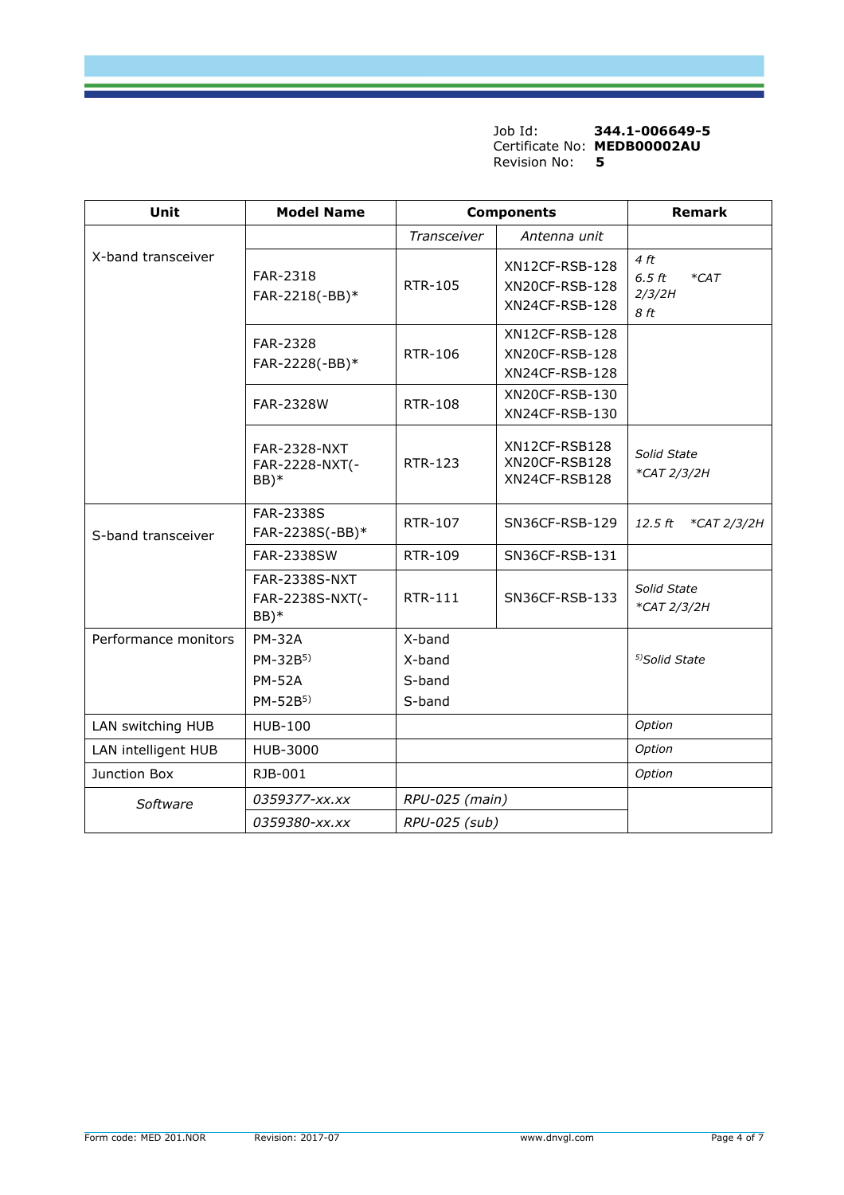Job Id: **344.1-006649-5** Certificate No: **MEDB00002AU**<br>Revision No: 5 Revision No:

| Unit                 | <b>Model Name</b>                               | <b>Components</b> |                                                    | <b>Remark</b>                                        |
|----------------------|-------------------------------------------------|-------------------|----------------------------------------------------|------------------------------------------------------|
|                      |                                                 | Transceiver       | Antenna unit                                       |                                                      |
| X-band transceiver   | FAR-2318<br>FAR-2218(-BB)*                      | <b>RTR-105</b>    | XN12CF-RSB-128<br>XN20CF-RSB-128<br>XN24CF-RSB-128 | 4 ft<br>$6.5 \text{ ft}$<br>$*CAT$<br>2/3/2H<br>8 ft |
|                      | FAR-2328<br>FAR-2228(-BB)*                      | <b>RTR-106</b>    | XN12CF-RSB-128<br>XN20CF-RSB-128<br>XN24CF-RSB-128 |                                                      |
|                      | FAR-2328W                                       | <b>RTR-108</b>    | XN20CF-RSB-130<br>XN24CF-RSB-130                   |                                                      |
|                      | <b>FAR-2328-NXT</b><br>FAR-2228-NXT(-<br>BB)*   | RTR-123           | XN12CF-RSB128<br>XN20CF-RSB128<br>XN24CF-RSB128    | Solid State<br>*CAT 2/3/2H                           |
| S-band transceiver   | FAR-2338S<br>FAR-2238S(-BB)*                    | RTR-107           | SN36CF-RSB-129                                     | $12.5 \text{ ft}$<br>*CAT 2/3/2H                     |
|                      | <b>FAR-2338SW</b>                               | <b>RTR-109</b>    | SN36CF-RSB-131                                     |                                                      |
|                      | <b>FAR-2338S-NXT</b><br>FAR-2238S-NXT(-<br>BB)* | <b>RTR-111</b>    | SN36CF-RSB-133                                     | Solid State<br>*CAT 2/3/2H                           |
| Performance monitors | <b>PM-32A</b>                                   | X-band            |                                                    |                                                      |
|                      | PM-32B5)                                        | X-band            |                                                    | <sup>5)</sup> Solid State                            |
|                      | <b>PM-52A</b>                                   | S-band            |                                                    |                                                      |
|                      | PM-52B5)                                        | S-band            |                                                    |                                                      |
| LAN switching HUB    | <b>HUB-100</b>                                  |                   |                                                    | Option                                               |
| LAN intelligent HUB  | HUB-3000                                        |                   |                                                    | Option                                               |
| Junction Box         | RJB-001                                         |                   |                                                    | Option                                               |
| Software             | 0359377-xx.xx                                   | RPU-025 (main)    |                                                    |                                                      |
|                      | 0359380-xx.xx                                   | RPU-025 (sub)     |                                                    |                                                      |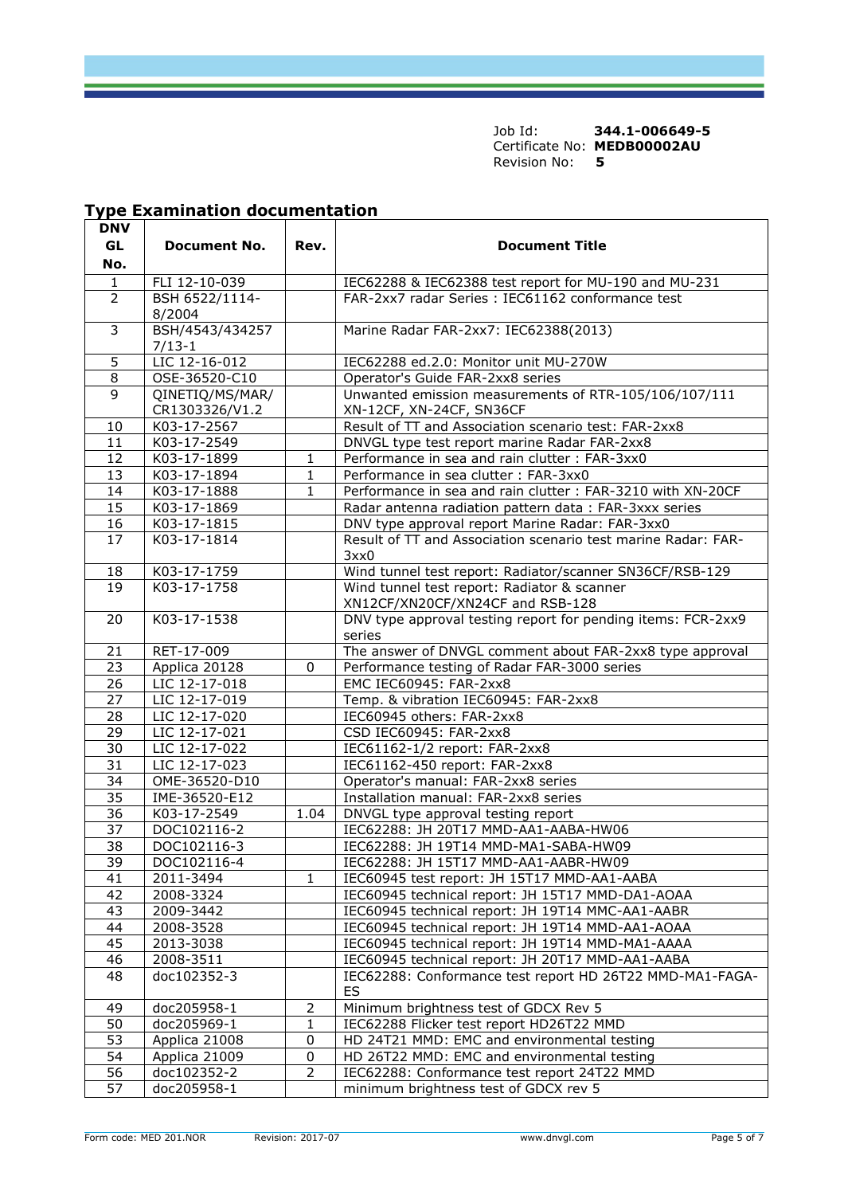# **Type Examination documentation**

| <b>DNV</b>      |                            |                |                                                                                                      |
|-----------------|----------------------------|----------------|------------------------------------------------------------------------------------------------------|
| GL              | <b>Document No.</b>        | Rev.           | <b>Document Title</b>                                                                                |
| No.             |                            |                |                                                                                                      |
| $\mathbf{1}$    | FLI 12-10-039              |                | IEC62288 & IEC62388 test report for MU-190 and MU-231                                                |
| $\overline{2}$  | BSH 6522/1114-             |                | FAR-2xx7 radar Series: IEC61162 conformance test                                                     |
|                 | 8/2004                     |                |                                                                                                      |
| $\overline{3}$  | BSH/4543/434257            |                | Marine Radar FAR-2xx7: IEC62388(2013)                                                                |
|                 | $7/13-1$                   |                |                                                                                                      |
| $\overline{5}$  | LIC 12-16-012              |                | IEC62288 ed.2.0: Monitor unit MU-270W                                                                |
| 8               | OSE-36520-C10              |                | Operator's Guide FAR-2xx8 series                                                                     |
| 9               | QINETIQ/MS/MAR/            |                | Unwanted emission measurements of RTR-105/106/107/111                                                |
|                 | CR1303326/V1.2             |                | XN-12CF, XN-24CF, SN36CF                                                                             |
| 10              | K03-17-2567                |                | Result of TT and Association scenario test: FAR-2xx8                                                 |
| 11              | K03-17-2549                |                | DNVGL type test report marine Radar FAR-2xx8                                                         |
| 12              | K03-17-1899                | 1              | Performance in sea and rain clutter: FAR-3xx0                                                        |
| 13              | K03-17-1894                | $\mathbf{1}$   | Performance in sea clutter: FAR-3xx0                                                                 |
| 14              | K03-17-1888                | $\mathbf{1}$   | Performance in sea and rain clutter : FAR-3210 with XN-20CF                                          |
| 15              | K03-17-1869                |                | Radar antenna radiation pattern data: FAR-3xxx series                                                |
| 16              | K03-17-1815                |                | DNV type approval report Marine Radar: FAR-3xx0                                                      |
| 17              | K03-17-1814                |                | Result of TT and Association scenario test marine Radar: FAR-                                        |
|                 |                            |                | 3xx0                                                                                                 |
| 18              | K03-17-1759                |                | Wind tunnel test report: Radiator/scanner SN36CF/RSB-129                                             |
| 19              | K03-17-1758                |                | Wind tunnel test report: Radiator & scanner                                                          |
|                 |                            |                | XN12CF/XN20CF/XN24CF and RSB-128                                                                     |
| 20              | K03-17-1538                |                | DNV type approval testing report for pending items: FCR-2xx9                                         |
|                 |                            |                | series                                                                                               |
| 21              | RET-17-009                 |                | The answer of DNVGL comment about FAR-2xx8 type approval                                             |
| 23              | Applica 20128              | $\mathbf 0$    | Performance testing of Radar FAR-3000 series                                                         |
| 26              | LIC 12-17-018              |                | EMC IEC60945: FAR-2xx8                                                                               |
| 27              | LIC 12-17-019              |                | Temp. & vibration IEC60945: FAR-2xx8                                                                 |
| 28              | LIC 12-17-020              |                | IEC60945 others: FAR-2xx8                                                                            |
| 29              | LIC 12-17-021              |                | CSD IEC60945: FAR-2xx8                                                                               |
| 30<br>31        | LIC 12-17-022              |                | IEC61162-1/2 report: FAR-2xx8                                                                        |
|                 | LIC 12-17-023              |                | IEC61162-450 report: FAR-2xx8                                                                        |
| 34              | OME-36520-D10              |                | Operator's manual: FAR-2xx8 series                                                                   |
| 35              | IME-36520-E12              |                | Installation manual: FAR-2xx8 series                                                                 |
| 36<br>37        | K03-17-2549                | 1.04           | DNVGL type approval testing report                                                                   |
|                 | DOC102116-2<br>DOC102116-3 |                | IEC62288: JH 20T17 MMD-AA1-AABA-HW06                                                                 |
| 38              |                            |                | IEC62288: JH 19T14 MMD-MA1-SABA-HW09                                                                 |
| 39<br>41        | DOC102116-4<br>2011-3494   | 1              | IEC62288: JH 15T17 MMD-AA1-AABR-HW09                                                                 |
| 42              | 2008-3324                  |                | IEC60945 test report: JH 15T17 MMD-AA1-AABA                                                          |
| 43              | 2009-3442                  |                | IEC60945 technical report: JH 15T17 MMD-DA1-AOAA<br>IEC60945 technical report: JH 19T14 MMC-AA1-AABR |
| 44              | 2008-3528                  |                | IEC60945 technical report: JH 19T14 MMD-AA1-AOAA                                                     |
| 45              | 2013-3038                  |                | IEC60945 technical report: JH 19T14 MMD-MA1-AAAA                                                     |
| 46              | 2008-3511                  |                | IEC60945 technical report: JH 20T17 MMD-AA1-AABA                                                     |
| 48              | doc102352-3                |                | IEC62288: Conformance test report HD 26T22 MMD-MA1-FAGA-                                             |
|                 |                            |                | ES                                                                                                   |
| 49              | doc205958-1                | $\overline{2}$ | Minimum brightness test of GDCX Rev 5                                                                |
| 50              | doc205969-1                | $\mathbf{1}$   | IEC62288 Flicker test report HD26T22 MMD                                                             |
| 53              | Applica 21008              | 0              | HD 24T21 MMD: EMC and environmental testing                                                          |
| 54              | Applica 21009              | 0              | HD 26T22 MMD: EMC and environmental testing                                                          |
| $\overline{56}$ | doc102352-2                | $\overline{2}$ | IEC62288: Conformance test report 24T22 MMD                                                          |
| 57              | doc205958-1                |                | minimum brightness test of GDCX rev 5                                                                |
|                 |                            |                |                                                                                                      |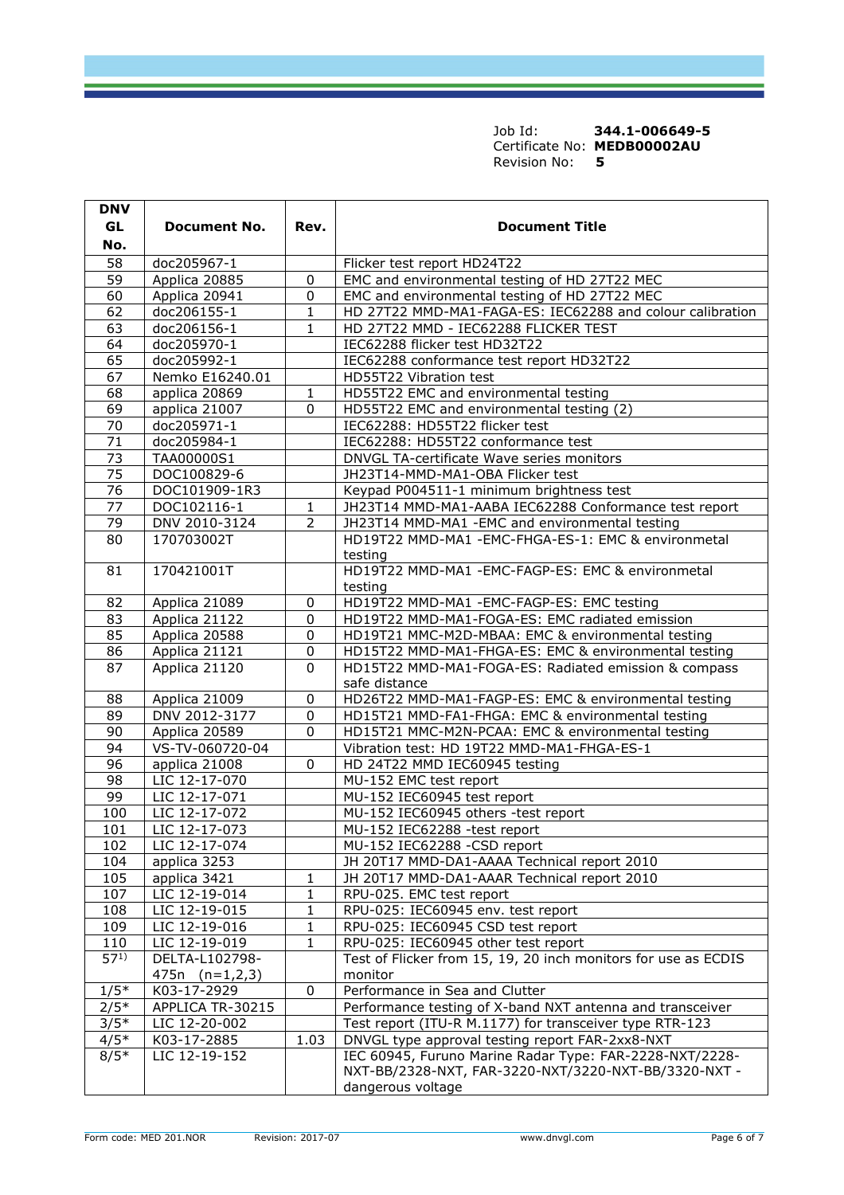Job Id: **344.1-006649-5** Certificate No: **MEDB00002AU**<br>Revision No: 5 Revision No:

| <b>DNV</b>      |                                     |                |                                                                           |
|-----------------|-------------------------------------|----------------|---------------------------------------------------------------------------|
| GL              | <b>Document No.</b>                 | Rev.           | <b>Document Title</b>                                                     |
| No.             |                                     |                |                                                                           |
| 58              | doc205967-1                         |                | Flicker test report HD24T22                                               |
| $\overline{59}$ | Applica 20885                       | 0              | EMC and environmental testing of HD 27T22 MEC                             |
| 60              | Applica 20941                       | $\pmb{0}$      | EMC and environmental testing of HD 27T22 MEC                             |
| 62              | doc206155-1                         | $\overline{1}$ | HD 27T22 MMD-MA1-FAGA-ES: IEC62288 and colour calibration                 |
| 63              | doc206156-1                         | $\mathbf{1}$   | HD 27T22 MMD - IEC62288 FLICKER TEST                                      |
| 64              | doc205970-1                         |                | IEC62288 flicker test HD32T22                                             |
| 65              | doc205992-1                         |                | IEC62288 conformance test report HD32T22                                  |
| 67              | Nemko E16240.01                     |                | HD55T22 Vibration test                                                    |
| 68              | applica 20869                       | 1              | HD55T22 EMC and environmental testing                                     |
| 69              | applica 21007                       | 0              | HD55T22 EMC and environmental testing (2)                                 |
| 70              | doc205971-1                         |                | IEC62288: HD55T22 flicker test                                            |
| 71              | doc205984-1                         |                | IEC62288: HD55T22 conformance test                                        |
| 73              | TAA00000S1                          |                | DNVGL TA-certificate Wave series monitors                                 |
| $\overline{75}$ | DOC100829-6                         |                | JH23T14-MMD-MA1-OBA Flicker test                                          |
| $\overline{76}$ | DOC101909-1R3                       |                | Keypad P004511-1 minimum brightness test                                  |
| 77              | DOC102116-1                         | 1              | JH23T14 MMD-MA1-AABA IEC62288 Conformance test report                     |
| 79              | DNV 2010-3124                       | $\overline{2}$ | JH23T14 MMD-MA1 -EMC and environmental testing                            |
| 80              | 170703002T                          |                | HD19T22 MMD-MA1 -EMC-FHGA-ES-1: EMC & environmetal                        |
|                 |                                     |                | testing                                                                   |
| 81              | 170421001T                          |                | HD19T22 MMD-MA1 -EMC-FAGP-ES: EMC & environmetal                          |
|                 |                                     |                | testing                                                                   |
| 82              | Applica 21089                       | 0              | HD19T22 MMD-MA1 -EMC-FAGP-ES: EMC testing                                 |
| 83              | Applica 21122                       | $\pmb{0}$      | HD19T22 MMD-MA1-FOGA-ES: EMC radiated emission                            |
| 85              | Applica 20588                       | $\overline{0}$ | HD19T21 MMC-M2D-MBAA: EMC & environmental testing                         |
| 86              | Applica 21121                       | $\pmb{0}$      | HD15T22 MMD-MA1-FHGA-ES: EMC & environmental testing                      |
| 87              | Applica 21120                       | $\Omega$       | HD15T22 MMD-MA1-FOGA-ES: Radiated emission & compass<br>safe distance     |
| 88              | Applica 21009                       | $\pmb{0}$      | HD26T22 MMD-MA1-FAGP-ES: EMC & environmental testing                      |
| 89              | DNV 2012-3177                       | 0              | HD15T21 MMD-FA1-FHGA: EMC & environmental testing                         |
| 90              | Applica 20589                       | 0              | HD15T21 MMC-M2N-PCAA: EMC & environmental testing                         |
| 94              | VS-TV-060720-04                     |                | Vibration test: HD 19T22 MMD-MA1-FHGA-ES-1                                |
| 96              | applica 21008                       | $\pmb{0}$      | HD 24T22 MMD IEC60945 testing                                             |
| 98              | LIC 12-17-070                       |                | MU-152 EMC test report                                                    |
| 99              | LIC 12-17-071                       |                | MU-152 IEC60945 test report                                               |
| 100             | LIC 12-17-072                       |                | MU-152 IEC60945 others -test report                                       |
| 101             | LIC 12-17-073                       |                | MU-152 IEC62288 -test report                                              |
| 102             | LIC 12-17-074                       |                | MU-152 IEC62288 -CSD report                                               |
| 104             | applica 3253                        |                | JH 20T17 MMD-DA1-AAAA Technical report 2010                               |
| 105             | applica 3421                        | 1              | JH 20T17 MMD-DA1-AAAR Technical report 2010                               |
| 107             | LIC 12-19-014                       | 1              | RPU-025. EMC test report                                                  |
| 108             | LIC 12-19-015                       | 1              | RPU-025: IEC60945 env. test report                                        |
| 109             | LIC 12-19-016                       | 1              | RPU-025: IEC60945 CSD test report                                         |
| 110             | LIC 12-19-019                       | 1              | RPU-025: IEC60945 other test report                                       |
| $57^{1}$        | DELTA-L102798-<br>475 $n (n=1,2,3)$ |                | Test of Flicker from 15, 19, 20 inch monitors for use as ECDIS<br>monitor |
| $1/5*$          | K03-17-2929                         | $\pmb{0}$      | Performance in Sea and Clutter                                            |
| $2/5*$          | APPLICA TR-30215                    |                | Performance testing of X-band NXT antenna and transceiver                 |
| $3/5*$          | LIC 12-20-002                       |                | Test report (ITU-R M.1177) for transceiver type RTR-123                   |
| $4/5*$          | K03-17-2885                         | 1.03           | DNVGL type approval testing report FAR-2xx8-NXT                           |
| $8/5*$          | LIC 12-19-152                       |                | IEC 60945, Furuno Marine Radar Type: FAR-2228-NXT/2228-                   |
|                 |                                     |                | NXT-BB/2328-NXT, FAR-3220-NXT/3220-NXT-BB/3320-NXT -                      |
|                 |                                     |                | dangerous voltage                                                         |